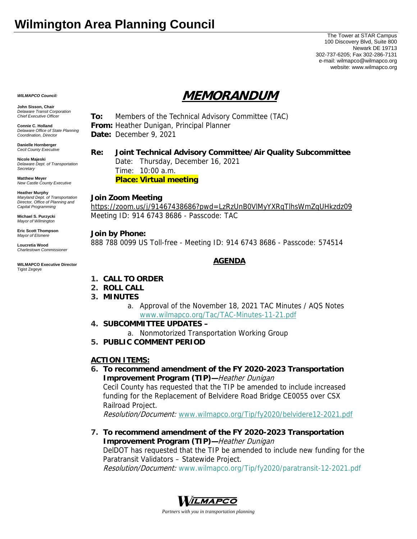# **Wilmington Area Planning Council**

The Tower at STAR Campus 100 Discovery Blvd, Suite 800 Newark DE 19713 302-737-6205; Fax 302-286-7131 e-mail: wilmapco@wilmapco.org website: www.wilmapco.org

# **MEMORANDUM**

*WILMAPCO Council:* **John Sisson, Chair** 

*Delaware Transit Corporation Chief Executive Officer* **Connie C. Holland** 

*Delaware Office of State Planning Coordination, Director*

**Danielle Hornberger** *Cecil County Executive* 

**Nicole Majeski**  *Delaware Dept. of Transportation Secretary*

**Matthew Meyer**  *New Castle County Executive* 

**Heather Murphy** 

*Maryland Dept. of Transportation Director, Office of Planning and Capital Programming* 

**Michael S. Purzycki**  *Mayor of Wilmington*

**Eric Scott Thompson**  *Mayor of Elsmere* 

**Loucretia Wood**  *Charlestown Commissioner* 

#### **WILMAPCO Executive Director**  Tigist Zegeye

**To:** Members of the Technical Advisory Committee (TAC) **From:** Heather Dunigan, Principal Planner **Date:** December 9, 2021

### **Re: Joint Technical Advisory Committee/Air Quality Subcommittee**

 Date: Thursday, December 16, 2021 Time: 10:00 a.m. **Place: Virtual meeting**

#### **Join Zoom Meeting**

https://zoom.us/j/91467438686?pwd=LzRzUnB0VlMyYXRqTlhsWmZqUHkzdz09 Meeting ID: 914 6743 8686 - Passcode: TAC

#### **Join by Phone:**

888 788 0099 US Toll-free - Meeting ID: 914 6743 8686 - Passcode: 574514

## **AGENDA**

- **1. CALL TO ORDER**
- **2. ROLL CALL**
- **3. MINUTES**
	- a. Approval of the November 18, 2021 TAC Minutes / AQS Notes www.wilmapco.org/Tac/TAC-Minutes-11-21.pdf
- **4. SUBCOMMITTEE UPDATES** 
	- a. Nonmotorized Transportation Working Group
- **5. PUBLIC COMMENT PERIOD**

#### **ACTION ITEMS:**

**6. To recommend amendment of the FY 2020-2023 Transportation Improvement Program (TIP)—**Heather Dunigan Cecil County has requested that the TIP be amended to include increased funding for the Replacement of Belvidere Road Bridge CE0055 over CSX

### Railroad Project.

Resolution/Document: www.wilmapco.org/Tip/fy2020/belvidere12-2021.pdf

**7. To recommend amendment of the FY 2020-2023 Transportation Improvement Program (TIP)—**Heather Dunigan DelDOT has requested that the TIP be amended to include new funding for the Paratransit Validators – Statewide Project.

Resolution/Document: www.wilmapco.org/Tip/fy2020/paratransit-12-2021.pdf



*Partners with you in transportation planning*